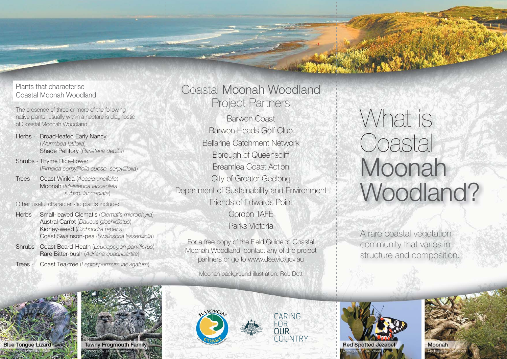#### Plants that characterise Coastal Moonah Woodland

The presence of three or more of the following native plants, usually within a hectare is diagnostic of Coastal Moonah Woodland.

- Herbs Broad-leafed Early Nancy (*Wurmbea latifolia*) Shade Pellitory (*Parietaria debilis*)
- Shrubs Thyme Rice-flower (*Pimelea serpyllifolia subsp. serpyllifolia*)
- Trees Coast Wirilda (*Acacia uncifolia*) Moonah ( *Melaleuca lanceolata subsp. lanceolata*)

Other useful characteristic plants include:

- Herbs Small-leaved Clematis (*Clematis microphylla*) Austral Carrot (*Daucus glochidiatus*) Kidney-weed (*Dichondra repens*) Coast Swainson-pea (*Swainsona lessertiifolia*)
- Shrubs Coast Beard-Heath (*Leucopogon parviflorus*) Rare Bitter-bush (*Adriana quadripartita*)
- Trees Coast Tea-tree (*Leptospermum laevigatum*)

# Coastal Moonah Woodland Project Partners

Barwon Coast Barwon Heads Golf Club Bellarine Catchment Network Borough of Queenscliff Breamlea Coast Action City of Greater Geelong Department of Sustainability and Environment Friends of Edwards Point Gordon TAFE Parks Victoria

For a free copy of the Field Guide to Coastal Moonah Woodland, contact any of the project partners or go to www.dse.vic.gov.au

Moonah background illustration: Rob Dott

# What is Coastal Moonah Woodland?

A rare coastal vegetation community that varies in structure and composition.





**Tawny Frogmouth Family** Photography: Martin Klaubers







Photography: Bev Wood

Moonah